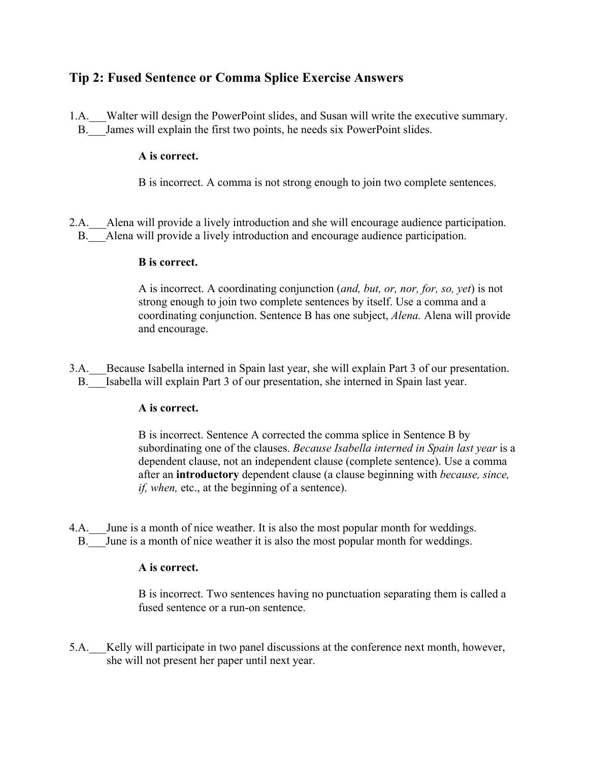# **Tip 2: Fused Sentence or Comma Splice Exercise Answers**

1.A. Walter will design the PowerPoint slides, and Susan will write the executive summary. B. James will explain the first two points, he needs six PowerPoint slides.

## **A is correct.**

B is incorrect. A comma is not strong enough to join two complete sentences.

2.A. Alena will provide a lively introduction and she will encourage audience participation. B. Alena will provide a lively introduction and encourage audience participation.

### **B is correct.**

A is incorrect. A coordinating conjunction (*and, but, or, nor, for, so, yet*) is not strong enough to join two complete sentences by itself. Use a comma and a coordinating conjunction. Sentence B has one subject, *Alena.* Alena will provide and encourage.

3.A. Because Isabella interned in Spain last year, she will explain Part 3 of our presentation. B. Isabella will explain Part 3 of our presentation, she interned in Spain last year.

### **A is correct.**

B is incorrect. Sentence A corrected the comma splice in Sentence B by subordinating one of the clauses. *Because Isabella interned in Spain last year* is a dependent clause, not an independent clause (complete sentence). Use a comma after an **introductory** dependent clause (a clause beginning with *because, since, if, when, etc., at the beginning of a sentence).* 

4.A. June is a month of nice weather. It is also the most popular month for weddings. B. June is a month of nice weather it is also the most popular month for weddings.

### **A is correct.**

B is incorrect. Two sentences having no punctuation separating them is called a fused sentence or a run-on sentence.

5.A.\_\_\_Kelly will participate in two panel discussions at the conference next month, however, she will not present her paper until next year.